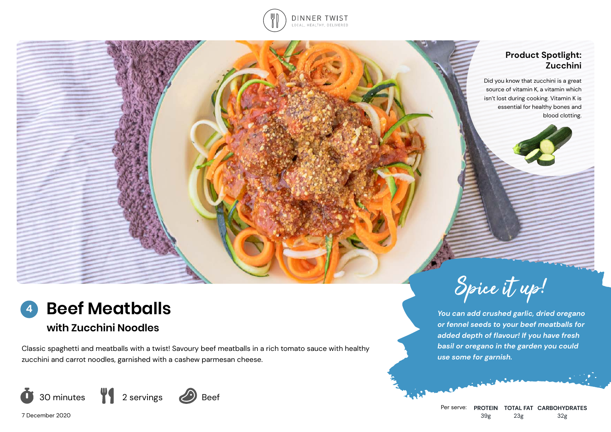

### **Product Spotlight: Zucchini**

morrowing

Did you know that zucchini is a great source of vitamin K, a vitamin which isn't lost during cooking. Vitamin K is essential for healthy bones and blood clotting.

#### **Beef Meatballs 4**

# **with Zucchini Noodles**

Classic spaghetti and meatballs with a twist! Savoury beef meatballs in a rich tomato sauce with healthy zucchini and carrot noodles, garnished with a cashew parmesan cheese.



7 December 2020



*You can add crushed garlic, dried oregano or fennel seeds to your beef meatballs for added depth of flavour! If you have fresh basil or oregano in the garden you could use some for garnish.*